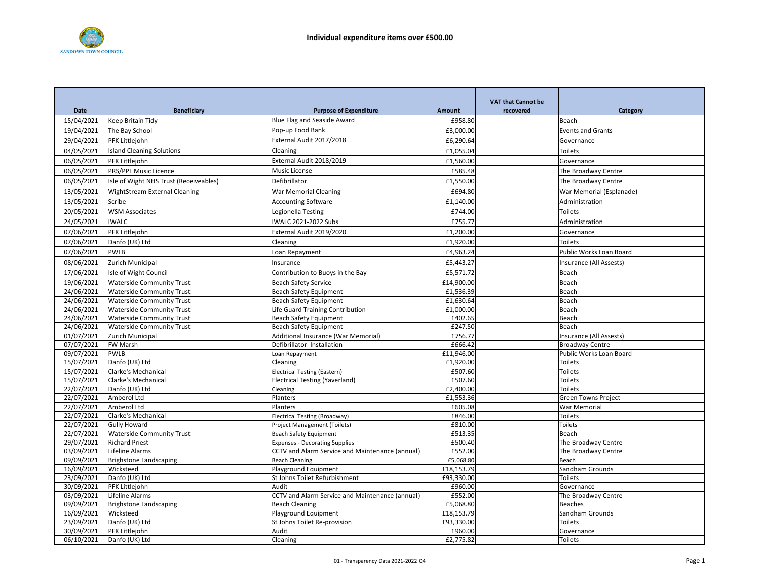

|                          |                                            |                                                                   |                         | <b>VAT that Cannot be</b> |                                                   |
|--------------------------|--------------------------------------------|-------------------------------------------------------------------|-------------------------|---------------------------|---------------------------------------------------|
| Date                     | <b>Beneficiary</b>                         | <b>Purpose of Expenditure</b>                                     | Amount                  | recovered                 | Category                                          |
| 15/04/2021               | Keep Britain Tidy                          | <b>Blue Flag and Seaside Award</b>                                | £958.80                 |                           | Beach                                             |
| 19/04/2021               | The Bay School                             | Pop-up Food Bank                                                  | £3,000.00               |                           | <b>Events and Grants</b>                          |
| 29/04/2021               | PFK Littlejohn                             | External Audit 2017/2018                                          | £6,290.64               |                           | Governance                                        |
| 04/05/2021               | <b>Island Cleaning Solutions</b>           | Cleaning                                                          | £1,055.04               |                           | Toilets                                           |
| 06/05/2021               | PFK Littlejohn                             | External Audit 2018/2019                                          | £1,560.00               |                           | Governance                                        |
| 06/05/2021               | PRS/PPL Music Licence                      | Music License                                                     | £585.48                 |                           | The Broadway Centre                               |
| 06/05/2021               | Isle of Wight NHS Trust (Receiveables)     | Defibrillator                                                     | £1,550.00               |                           | The Broadway Centre                               |
| 13/05/2021               | WightStream External Cleaning              | <b>War Memorial Cleaning</b>                                      | £694.80                 |                           | War Memorial (Esplanade)                          |
| 13/05/2021               | Scribe                                     | <b>Accounting Software</b>                                        | £1,140.00               |                           | Administration                                    |
| 20/05/2021               | <b>WSM Associates</b>                      | Legionella Testing                                                | £744.00                 |                           | Toilets                                           |
| 24/05/2021               | <b>IWALC</b>                               | IWALC 2021-2022 Subs                                              | £755.77                 |                           | Administration                                    |
| 07/06/2021               | PFK Littlejohn                             | External Audit 2019/2020                                          | £1,200.00               |                           | Governance                                        |
| 07/06/2021               | Danfo (UK) Ltd                             | Cleaning                                                          | £1,920.00               |                           | <b>Toilets</b>                                    |
|                          |                                            |                                                                   |                         |                           |                                                   |
| 07/06/2021               | PWLB                                       | Loan Repayment                                                    | £4,963.24               |                           | Public Works Loan Board                           |
| 08/06/2021               | Zurich Municipal                           | Insurance                                                         | £5,443.27               |                           | Insurance (All Assests)                           |
| 17/06/2021               | Isle of Wight Council                      | Contribution to Buoys in the Bay                                  | £5,571.72               |                           | Beach                                             |
| 19/06/2021               | <b>Waterside Community Trust</b>           | <b>Beach Safety Service</b>                                       | £14,900.00              |                           | Beach                                             |
| 24/06/2021               | <b>Waterside Community Trust</b>           | <b>Beach Safety Equipment</b>                                     | £1,536.39               |                           | Beach                                             |
| 24/06/2021               | <b>Waterside Community Trust</b>           | <b>Beach Safety Equipment</b>                                     | £1,630.64               |                           | Beach                                             |
| 24/06/2021               | <b>Waterside Community Trust</b>           | Life Guard Training Contribution                                  | £1,000.00               |                           | Beach                                             |
| 24/06/2021               | <b>Waterside Community Trust</b>           | <b>Beach Safety Equipment</b>                                     | £402.65                 |                           | Beach                                             |
| 24/06/2021<br>01/07/2021 | <b>Waterside Community Trust</b>           | <b>Beach Safety Equipment</b>                                     | £247.50<br>£756.77      |                           | Beach                                             |
| 07/07/2021               | Zurich Municipal<br>FW Marsh               | Additional Insurance (War Memorial)<br>Defibrillator Installation | £666.42                 |                           | Insurance (All Assests)<br><b>Broadway Centre</b> |
| 09/07/2021               | <b>PWLB</b>                                | Loan Repayment                                                    | £11,946.00              |                           | Public Works Loan Board                           |
| 15/07/2021               | Danfo (UK) Ltd                             | Cleaning                                                          | £1,920.00               |                           | Toilets                                           |
| 15/07/2021               | Clarke's Mechanical                        | <b>Electrical Testing (Eastern)</b>                               | £507.60                 |                           | Toilets                                           |
| 15/07/2021               | Clarke's Mechanical                        | <b>Electrical Testing (Yaverland)</b>                             | £507.60                 |                           | Toilets                                           |
| 22/07/2021               | Danfo (UK) Ltd                             | Cleaning                                                          | £2,400.00               |                           | Toilets                                           |
| 22/07/2021               | Amberol Ltd                                | Planters                                                          | £1,553.36               |                           | <b>Green Towns Project</b>                        |
| 22/07/2021               | Amberol Ltd                                | Planters                                                          | £605.08                 |                           | War Memorial                                      |
| 22/07/2021               | Clarke's Mechanical                        | <b>Electrical Testing (Broadway)</b>                              | £846.00                 |                           | Toilets                                           |
| 22/07/2021               | <b>Gully Howard</b>                        | <b>Project Management (Toilets)</b>                               | £810.00                 |                           | Toilets                                           |
| 22/07/2021               | <b>Waterside Community Trust</b>           | Beach Safety Equipment                                            | £513.35                 |                           | Beach                                             |
| 29/07/2021               | <b>Richard Priest</b>                      | <b>Expenses - Decorating Supplies</b>                             | £500.40                 |                           | The Broadway Centre                               |
| 03/09/2021               | Lifeline Alarms                            | CCTV and Alarm Service and Maintenance (annual)                   | £552.00                 |                           | The Broadway Centre                               |
| 09/09/2021               | <b>Brighstone Landscaping</b>              | <b>Beach Cleaning</b>                                             | £5,068.80               |                           | Beach                                             |
| 16/09/2021               | Wicksteed                                  | Playground Equipment                                              | £18,153.79              |                           | Sandham Grounds                                   |
| 23/09/2021               | Danfo (UK) Ltd                             | St Johns Toilet Refurbishment                                     | £93,330.00              |                           | Toilets                                           |
| 30/09/2021               | PFK Littlejohn                             | Audit                                                             | £960.00                 |                           | Governance                                        |
| 03/09/2021               | Lifeline Alarms                            | CCTV and Alarm Service and Maintenance (annual)                   | £552.00                 |                           | The Broadway Centre                               |
| 09/09/2021<br>16/09/2021 | <b>Brighstone Landscaping</b><br>Wicksteed | <b>Beach Cleaning</b><br>Playground Equipment                     | £5,068.80<br>£18,153.79 |                           | <b>Beaches</b><br>Sandham Grounds                 |
| 23/09/2021               | Danfo (UK) Ltd                             | St Johns Toilet Re-provision                                      | £93,330.00              |                           | Toilets                                           |
| 30/09/2021               | PFK Littlejohn                             | Audit                                                             | £960.00                 |                           | Governance                                        |
| 06/10/2021               | Danfo (UK) Ltd                             | Cleaning                                                          | £2,775.82               |                           | Toilets                                           |
|                          |                                            |                                                                   |                         |                           |                                                   |